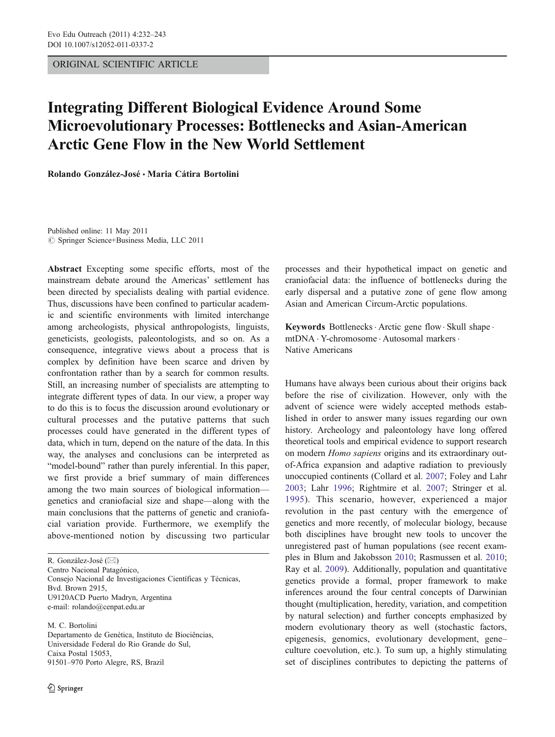ORIGINAL SCIENTIFIC ARTICLE

# Integrating Different Biological Evidence Around Some Microevolutionary Processes: Bottlenecks and Asian-American Arctic Gene Flow in the New World Settlement

Rolando González-José & Maria Cátira Bortolini

Published online: 11 May 2011  $\oslash$  Springer Science+Business Media, LLC 2011

Abstract Excepting some specific efforts, most of the mainstream debate around the Americas' settlement has been directed by specialists dealing with partial evidence. Thus, discussions have been confined to particular academic and scientific environments with limited interchange among archeologists, physical anthropologists, linguists, geneticists, geologists, paleontologists, and so on. As a consequence, integrative views about a process that is complex by definition have been scarce and driven by confrontation rather than by a search for common results. Still, an increasing number of specialists are attempting to integrate different types of data. In our view, a proper way to do this is to focus the discussion around evolutionary or cultural processes and the putative patterns that such processes could have generated in the different types of data, which in turn, depend on the nature of the data. In this way, the analyses and conclusions can be interpreted as "model-bound" rather than purely inferential. In this paper, we first provide a brief summary of main differences among the two main sources of biological information genetics and craniofacial size and shape—along with the main conclusions that the patterns of genetic and craniofacial variation provide. Furthermore, we exemplify the above-mentioned notion by discussing two particular

R. González-José (⊠)

Centro Nacional Patagónico,

Consejo Nacional de Investigaciones Científicas y Técnicas, Bvd. Brown 2915, U9120ACD Puerto Madryn, Argentina e-mail: rolando@cenpat.edu.ar

M. C. Bortolini

Departamento de Genética, Instituto de Biociências, Universidade Federal do Rio Grande do Sul, Caixa Postal 15053, 91501–970 Porto Alegre, RS, Brazil

processes and their hypothetical impact on genetic and craniofacial data: the influence of bottlenecks during the early dispersal and a putative zone of gene flow among Asian and American Circum-Arctic populations.

Keywords Bottlenecks Arctic gene flow Skull shape . mtDNA . Y-chromosome . Autosomal markers. Native Americans

Humans have always been curious about their origins back before the rise of civilization. However, only with the advent of science were widely accepted methods established in order to answer many issues regarding our own history. Archeology and paleontology have long offered theoretical tools and empirical evidence to support research on modern Homo sapiens origins and its extraordinary outof-Africa expansion and adaptive radiation to previously unoccupied continents (Collard et al. [2007](#page-8-0); Foley and Lahr [2003](#page-8-0); Lahr [1996;](#page-9-0) Rightmire et al. [2007;](#page-10-0) Stringer et al. [1995\)](#page-11-0). This scenario, however, experienced a major revolution in the past century with the emergence of genetics and more recently, of molecular biology, because both disciplines have brought new tools to uncover the unregistered past of human populations (see recent examples in Blum and Jakobsson [2010](#page-8-0); Rasmussen et al. [2010;](#page-10-0) Ray et al. [2009](#page-10-0)). Additionally, population and quantitative genetics provide a formal, proper framework to make inferences around the four central concepts of Darwinian thought (multiplication, heredity, variation, and competition by natural selection) and further concepts emphasized by modern evolutionary theory as well (stochastic factors, epigenesis, genomics, evolutionary development, gene– culture coevolution, etc.). To sum up, a highly stimulating set of disciplines contributes to depicting the patterns of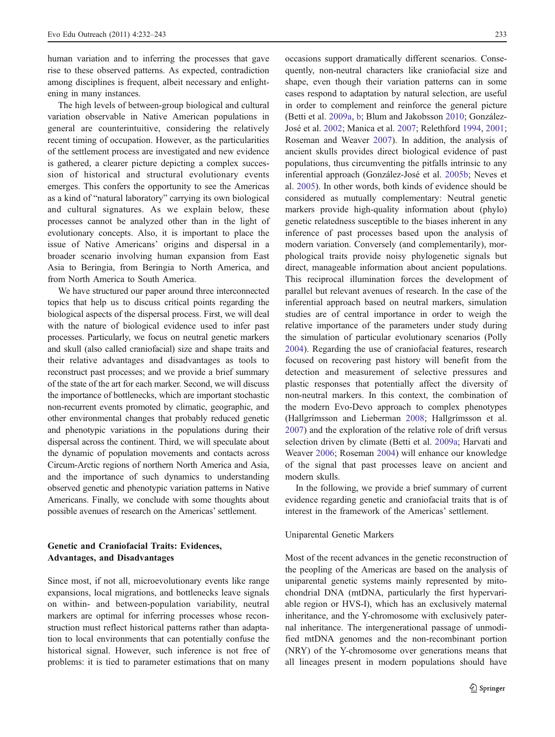human variation and to inferring the processes that gave rise to these observed patterns. As expected, contradiction among disciplines is frequent, albeit necessary and enlightening in many instances.

The high levels of between-group biological and cultural variation observable in Native American populations in general are counterintuitive, considering the relatively recent timing of occupation. However, as the particularities of the settlement process are investigated and new evidence is gathered, a clearer picture depicting a complex succession of historical and structural evolutionary events emerges. This confers the opportunity to see the Americas as a kind of "natural laboratory" carrying its own biological and cultural signatures. As we explain below, these processes cannot be analyzed other than in the light of evolutionary concepts. Also, it is important to place the issue of Native Americans' origins and dispersal in a broader scenario involving human expansion from East Asia to Beringia, from Beringia to North America, and from North America to South America.

We have structured our paper around three interconnected topics that help us to discuss critical points regarding the biological aspects of the dispersal process. First, we will deal with the nature of biological evidence used to infer past processes. Particularly, we focus on neutral genetic markers and skull (also called craniofacial) size and shape traits and their relative advantages and disadvantages as tools to reconstruct past processes; and we provide a brief summary of the state of the art for each marker. Second, we will discuss the importance of bottlenecks, which are important stochastic non-recurrent events promoted by climatic, geographic, and other environmental changes that probably reduced genetic and phenotypic variations in the populations during their dispersal across the continent. Third, we will speculate about the dynamic of population movements and contacts across Circum-Arctic regions of northern North America and Asia, and the importance of such dynamics to understanding observed genetic and phenotypic variation patterns in Native Americans. Finally, we conclude with some thoughts about possible avenues of research on the Americas' settlement.

# Genetic and Craniofacial Traits: Evidences, Advantages, and Disadvantages

Since most, if not all, microevolutionary events like range expansions, local migrations, and bottlenecks leave signals on within- and between-population variability, neutral markers are optimal for inferring processes whose reconstruction must reflect historical patterns rather than adaptation to local environments that can potentially confuse the historical signal. However, such inference is not free of problems: it is tied to parameter estimations that on many

occasions support dramatically different scenarios. Consequently, non-neutral characters like craniofacial size and shape, even though their variation patterns can in some cases respond to adaptation by natural selection, are useful in order to complement and reinforce the general picture (Betti et al. [2009a,](#page-8-0) [b;](#page-8-0) Blum and Jakobsson [2010](#page-8-0); González-José et al. [2002](#page-9-0); Manica et al. [2007;](#page-9-0) Relethford [1994,](#page-10-0) [2001;](#page-10-0) Roseman and Weaver [2007\)](#page-10-0). In addition, the analysis of ancient skulls provides direct biological evidence of past populations, thus circumventing the pitfalls intrinsic to any inferential approach (González-José et al. [2005b;](#page-9-0) Neves et al. [2005\)](#page-10-0). In other words, both kinds of evidence should be considered as mutually complementary: Neutral genetic markers provide high-quality information about (phylo) genetic relatedness susceptible to the biases inherent in any inference of past processes based upon the analysis of modern variation. Conversely (and complementarily), morphological traits provide noisy phylogenetic signals but direct, manageable information about ancient populations. This reciprocal illumination forces the development of parallel but relevant avenues of research. In the case of the inferential approach based on neutral markers, simulation studies are of central importance in order to weigh the relative importance of the parameters under study during the simulation of particular evolutionary scenarios (Polly [2004](#page-10-0)). Regarding the use of craniofacial features, research focused on recovering past history will benefit from the detection and measurement of selective pressures and plastic responses that potentially affect the diversity of non-neutral markers. In this context, the combination of the modern Evo-Devo approach to complex phenotypes (Hallgrímsson and Lieberman [2008;](#page-9-0) Hallgrímsson et al. [2007](#page-9-0)) and the exploration of the relative role of drift versus selection driven by climate (Betti et al. [2009a](#page-8-0); Harvati and Weaver [2006](#page-9-0); Roseman [2004\)](#page-10-0) will enhance our knowledge of the signal that past processes leave on ancient and modern skulls.

In the following, we provide a brief summary of current evidence regarding genetic and craniofacial traits that is of interest in the framework of the Americas' settlement.

#### Uniparental Genetic Markers

Most of the recent advances in the genetic reconstruction of the peopling of the Americas are based on the analysis of uniparental genetic systems mainly represented by mitochondrial DNA (mtDNA, particularly the first hypervariable region or HVS-I), which has an exclusively maternal inheritance, and the Y-chromosome with exclusively paternal inheritance. The intergenerational passage of unmodified mtDNA genomes and the non-recombinant portion (NRY) of the Y-chromosome over generations means that all lineages present in modern populations should have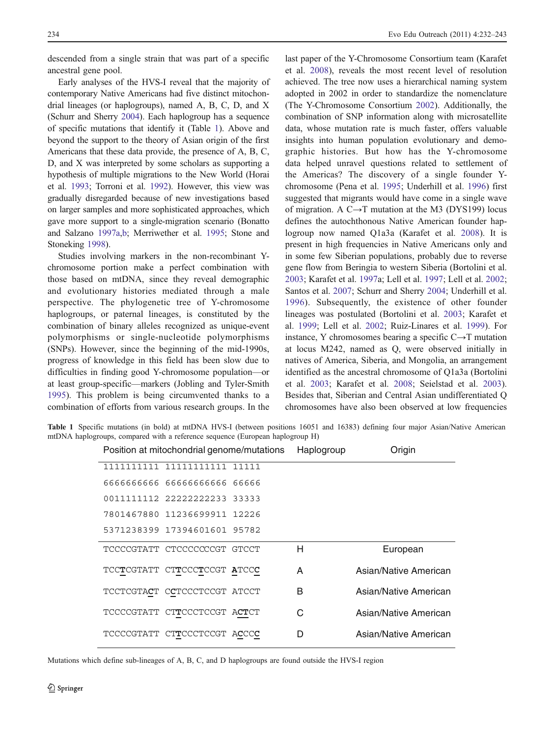descended from a single strain that was part of a specific ancestral gene pool.

Early analyses of the HVS-I reveal that the majority of contemporary Native Americans had five distinct mitochondrial lineages (or haplogroups), named A, B, C, D, and X (Schurr and Sherry [2004\)](#page-10-0). Each haplogroup has a sequence of specific mutations that identify it (Table 1). Above and beyond the support to the theory of Asian origin of the first Americans that these data provide, the presence of A, B, C, D, and X was interpreted by some scholars as supporting a hypothesis of multiple migrations to the New World (Horai et al. [1993;](#page-9-0) Torroni et al. [1992](#page-11-0)). However, this view was gradually disregarded because of new investigations based on larger samples and more sophisticated approaches, which gave more support to a single-migration scenario (Bonatto and Salzano [1997a,b](#page-8-0); Merriwether et al. [1995](#page-9-0); Stone and Stoneking [1998](#page-10-0)).

Studies involving markers in the non-recombinant Ychromosome portion make a perfect combination with those based on mtDNA, since they reveal demographic and evolutionary histories mediated through a male perspective. The phylogenetic tree of Y-chromosome haplogroups, or paternal lineages, is constituted by the combination of binary alleles recognized as unique-event polymorphisms or single-nucleotide polymorphisms (SNPs). However, since the beginning of the mid-1990s, progress of knowledge in this field has been slow due to difficulties in finding good Y-chromosome population—or at least group-specific—markers (Jobling and Tyler-Smith [1995\)](#page-9-0). This problem is being circumvented thanks to a combination of efforts from various research groups. In the

last paper of the Y-Chromosome Consortium team (Karafet et al. [2008\)](#page-9-0), reveals the most recent level of resolution achieved. The tree now uses a hierarchical naming system adopted in 2002 in order to standardize the nomenclature (The Y-Chromosome Consortium [2002](#page-11-0)). Additionally, the combination of SNP information along with microsatellite data, whose mutation rate is much faster, offers valuable insights into human population evolutionary and demographic histories. But how has the Y-chromosome data helped unravel questions related to settlement of the Americas? The discovery of a single founder Ychromosome (Pena et al. [1995;](#page-10-0) Underhill et al. [1996\)](#page-11-0) first suggested that migrants would have come in a single wave of migration. A C→T mutation at the M3 (DYS199) locus defines the autochthonous Native American founder haplogroup now named Q1a3a (Karafet et al. [2008\)](#page-9-0). It is present in high frequencies in Native Americans only and in some few Siberian populations, probably due to reverse gene flow from Beringia to western Siberia (Bortolini et al. [2003](#page-8-0); Karafet et al. [1997a](#page-9-0); Lell et al. [1997;](#page-9-0) Lell et al. [2002;](#page-9-0) Santos et al. [2007;](#page-10-0) Schurr and Sherry [2004;](#page-10-0) Underhill et al. [1996](#page-11-0)). Subsequently, the existence of other founder lineages was postulated (Bortolini et al. [2003](#page-8-0); Karafet et al. [1999;](#page-9-0) Lell et al. [2002](#page-9-0); Ruiz-Linares et al. [1999](#page-10-0)). For instance, Y chromosomes bearing a specific C→T mutation at locus M242, named as Q, were observed initially in natives of America, Siberia, and Mongolia, an arrangement identified as the ancestral chromosome of Q1a3a (Bortolini et al. [2003](#page-8-0); Karafet et al. [2008;](#page-9-0) Seielstad et al. [2003\)](#page-10-0). Besides that, Siberian and Central Asian undifferentiated Q chromosomes have also been observed at low frequencies

Table 1 Specific mutations (in bold) at mtDNA HVS-I (between positions 16051 and 16383) defining four major Asian/Native American mtDNA haplogroups, compared with a reference sequence (European haplogroup H)

| Position at mitochondrial genome/mutations |                              |       | Haplogroup | Origin                |
|--------------------------------------------|------------------------------|-------|------------|-----------------------|
| 1111111111                                 | 11111111111                  | 11111 |            |                       |
|                                            | 6666666666 66666666666 66666 |       |            |                       |
|                                            | 0011111112 22222222233       | 33333 |            |                       |
|                                            | 7801467880 11236699911       | 12226 |            |                       |
|                                            | 5371238399 17394601601 95782 |       |            |                       |
|                                            | TCCCCGTATT CTCCCCCCCGT       | GTCCT | н          | European              |
|                                            | TCCTCGTATT CTTCCCTCCGT ATCCC |       | A          | Asian/Native American |
|                                            | TCCTCGTACT CCTCCCTCCGT ATCCT |       | B          | Asian/Native American |
| TCCCCGTATT                                 | CTTCCCTCCGT ACTCT            |       | C          | Asian/Native American |
| TCCCCGTATT                                 | CTTCCCTCCGT ACCCC            |       | D          | Asian/Native American |

Mutations which define sub-lineages of A, B, C, and D haplogroups are found outside the HVS-I region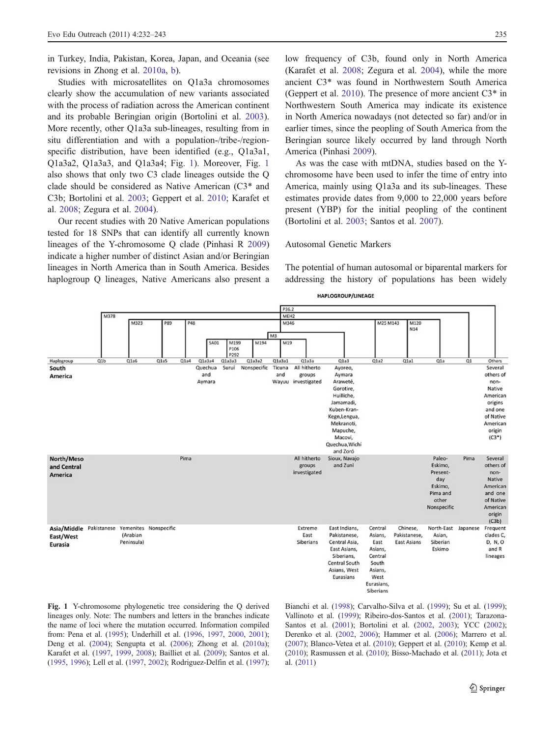<span id="page-3-0"></span>in Turkey, India, Pakistan, Korea, Japan, and Oceania (see revisions in Zhong et al. [2010a,](#page-11-0) [b\)](#page-11-0).

Studies with microsatellites on Q1a3a chromosomes clearly show the accumulation of new variants associated with the process of radiation across the American continent and its probable Beringian origin (Bortolini et al. [2003](#page-8-0)). More recently, other Q1a3a sub-lineages, resulting from in situ differentiation and with a population-/tribe-/regionspecific distribution, have been identified (e.g., Q1a3a1, Q1a3a2, Q1a3a3, and Q1a3a4; Fig. 1). Moreover, Fig. 1 also shows that only two C3 clade lineages outside the Q clade should be considered as Native American (C3\* and C3b; Bortolini et al. [2003](#page-8-0); Geppert et al. [2010;](#page-9-0) Karafet et al. [2008;](#page-9-0) Zegura et al. [2004](#page-11-0)).

Our recent studies with 20 Native American populations tested for 18 SNPs that can identify all currently known lineages of the Y-chromosome Q clade (Pinhasi R [2009\)](#page-10-0) indicate a higher number of distinct Asian and/or Beringian lineages in North America than in South America. Besides haplogroup Q lineages, Native Americans also present a

low frequency of C3b, found only in North America (Karafet et al. [2008;](#page-9-0) Zegura et al. [2004\)](#page-11-0), while the more ancient C3\* was found in Northwestern South America (Geppert et al. [2010\)](#page-9-0). The presence of more ancient C3\* in Northwestern South America may indicate its existence in North America nowadays (not detected so far) and/or in earlier times, since the peopling of South America from the Beringian source likely occurred by land through North America (Pinhasi [2009\)](#page-10-0).

As was the case with mtDNA, studies based on the Ychromosome have been used to infer the time of entry into America, mainly using Q1a3a and its sub-lineages. These estimates provide dates from 9,000 to 22,000 years before present (YBP) for the initial peopling of the continent (Bortolini et al. [2003](#page-8-0); Santos et al. [2007](#page-10-0)).

#### Autosomal Genetic Markers

The potential of human autosomal or biparental markers for addressing the history of populations has been widely



**HAPLOGROUP/LINEAGE** 

Fig. 1 Y-chromosome phylogenetic tree considering the Q derived lineages only. Note: The numbers and letters in the branches indicate the name of loci where the mutation occurred. Information compiled from: Pena et al. ([1995\)](#page-10-0); Underhill et al. [\(1996](#page-11-0), [1997](#page-11-0), [2000,](#page-11-0) [2001](#page-11-0)); Deng et al. ([2004\)](#page-8-0); Sengupta et al. ([2006\)](#page-10-0); Zhong et al. [\(2010a](#page-11-0)); Karafet et al. ([1997,](#page-9-0) [1999,](#page-9-0) [2008](#page-9-0)); Bailliet et al. ([2009\)](#page-8-0); Santos et al. ([1995,](#page-10-0) [1996](#page-10-0)); Lell et al. ([1997,](#page-9-0) [2002](#page-9-0)); Rodriguez-Delfin et al. [\(1997](#page-10-0)); Bianchi et al. ([1998\)](#page-8-0); Carvalho-Silva et al. [\(1999](#page-8-0)); Su et al. [\(1999](#page-11-0)); Vallinoto et al. ([1999\)](#page-11-0); Ribeiro-dos-Santos et al. ([2001\)](#page-10-0); Tarazona-Santos et al. [\(2001](#page-11-0)); Bortolini et al. [\(2002](#page-8-0), [2003\)](#page-8-0); YCC [\(2002](#page-11-0)); Derenko et al. [\(2002](#page-8-0), [2006](#page-8-0)); Hammer et al. [\(2006](#page-9-0)); Marrero et al. ([2007\)](#page-9-0); Blanco-Vetea et al. [\(2010](#page-8-0)); Geppert et al. ([2010\)](#page-9-0); Kemp et al. ([2010\)](#page-9-0); Rasmussen et al. ([2010\)](#page-10-0); Bisso-Machado et al. ([2011\)](#page-8-0); Jota et al. ([2011](#page-8-0))

Siberians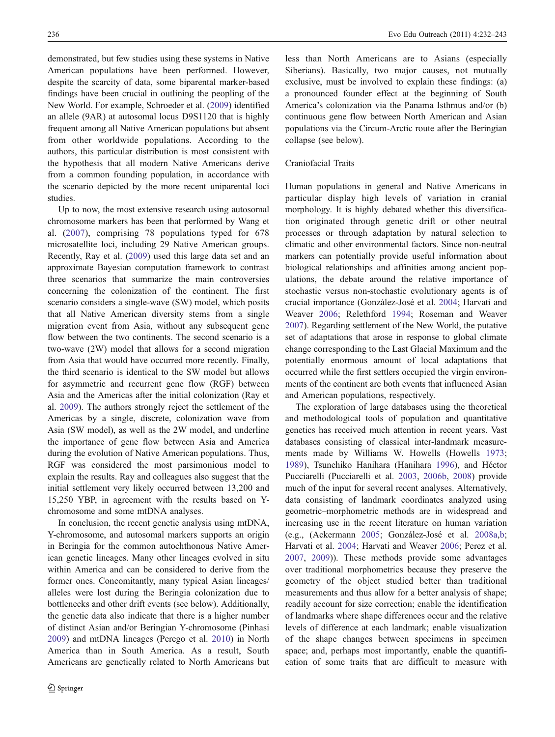demonstrated, but few studies using these systems in Native American populations have been performed. However, despite the scarcity of data, some biparental marker-based findings have been crucial in outlining the peopling of the New World. For example, Schroeder et al. [\(2009](#page-10-0)) identified an allele (9AR) at autosomal locus D9S1120 that is highly frequent among all Native American populations but absent from other worldwide populations. According to the authors, this particular distribution is most consistent with the hypothesis that all modern Native Americans derive from a common founding population, in accordance with the scenario depicted by the more recent uniparental loci studies.

Up to now, the most extensive research using autosomal chromosome markers has been that performed by Wang et al. ([2007](#page-11-0)), comprising 78 populations typed for 678 microsatellite loci, including 29 Native American groups. Recently, Ray et al. [\(2009](#page-10-0)) used this large data set and an approximate Bayesian computation framework to contrast three scenarios that summarize the main controversies concerning the colonization of the continent. The first scenario considers a single-wave (SW) model, which posits that all Native American diversity stems from a single migration event from Asia, without any subsequent gene flow between the two continents. The second scenario is a two-wave (2W) model that allows for a second migration from Asia that would have occurred more recently. Finally, the third scenario is identical to the SW model but allows for asymmetric and recurrent gene flow (RGF) between Asia and the Americas after the initial colonization (Ray et al. [2009](#page-10-0)). The authors strongly reject the settlement of the Americas by a single, discrete, colonization wave from Asia (SW model), as well as the 2W model, and underline the importance of gene flow between Asia and America during the evolution of Native American populations. Thus, RGF was considered the most parsimonious model to explain the results. Ray and colleagues also suggest that the initial settlement very likely occurred between 13,200 and 15,250 YBP, in agreement with the results based on Ychromosome and some mtDNA analyses.

In conclusion, the recent genetic analysis using mtDNA, Y-chromosome, and autosomal markers supports an origin in Beringia for the common autochthonous Native American genetic lineages. Many other lineages evolved in situ within America and can be considered to derive from the former ones. Concomitantly, many typical Asian lineages/ alleles were lost during the Beringia colonization due to bottlenecks and other drift events (see below). Additionally, the genetic data also indicate that there is a higher number of distinct Asian and/or Beringian Y-chromosome (Pinhasi [2009\)](#page-10-0) and mtDNA lineages (Perego et al. [2010](#page-10-0)) in North America than in South America. As a result, South Americans are genetically related to North Americans but less than North Americans are to Asians (especially Siberians). Basically, two major causes, not mutually exclusive, must be involved to explain these findings: (a) a pronounced founder effect at the beginning of South America's colonization via the Panama Isthmus and/or (b) continuous gene flow between North American and Asian populations via the Circum-Arctic route after the Beringian collapse (see below).

### Craniofacial Traits

Human populations in general and Native Americans in particular display high levels of variation in cranial morphology. It is highly debated whether this diversification originated through genetic drift or other neutral processes or through adaptation by natural selection to climatic and other environmental factors. Since non-neutral markers can potentially provide useful information about biological relationships and affinities among ancient populations, the debate around the relative importance of stochastic versus non-stochastic evolutionary agents is of crucial importance (González-José et al. [2004](#page-9-0); Harvati and Weaver [2006;](#page-9-0) Relethford [1994;](#page-10-0) Roseman and Weaver [2007](#page-10-0)). Regarding settlement of the New World, the putative set of adaptations that arose in response to global climate change corresponding to the Last Glacial Maximum and the potentially enormous amount of local adaptations that occurred while the first settlers occupied the virgin environments of the continent are both events that influenced Asian and American populations, respectively.

The exploration of large databases using the theoretical and methodological tools of population and quantitative genetics has received much attention in recent years. Vast databases consisting of classical inter-landmark measurements made by Williams W. Howells (Howells [1973;](#page-9-0) [1989](#page-9-0)), Tsunehiko Hanihara (Hanihara [1996\)](#page-9-0), and Héctor Pucciarelli (Pucciarelli et al. [2003,](#page-10-0) [2006b,](#page-10-0) [2008](#page-10-0)) provide much of the input for several recent analyses. Alternatively, data consisting of landmark coordinates analyzed using geometric–morphometric methods are in widespread and increasing use in the recent literature on human variation (e.g., (Ackermann [2005;](#page-8-0) González-José et al. [2008a](#page-9-0),[b;](#page-9-0) Harvati et al. [2004;](#page-9-0) Harvati and Weaver [2006;](#page-9-0) Perez et al. [2007](#page-10-0), [2009](#page-10-0))). These methods provide some advantages over traditional morphometrics because they preserve the geometry of the object studied better than traditional measurements and thus allow for a better analysis of shape; readily account for size correction; enable the identification of landmarks where shape differences occur and the relative levels of difference at each landmark; enable visualization of the shape changes between specimens in specimen space; and, perhaps most importantly, enable the quantification of some traits that are difficult to measure with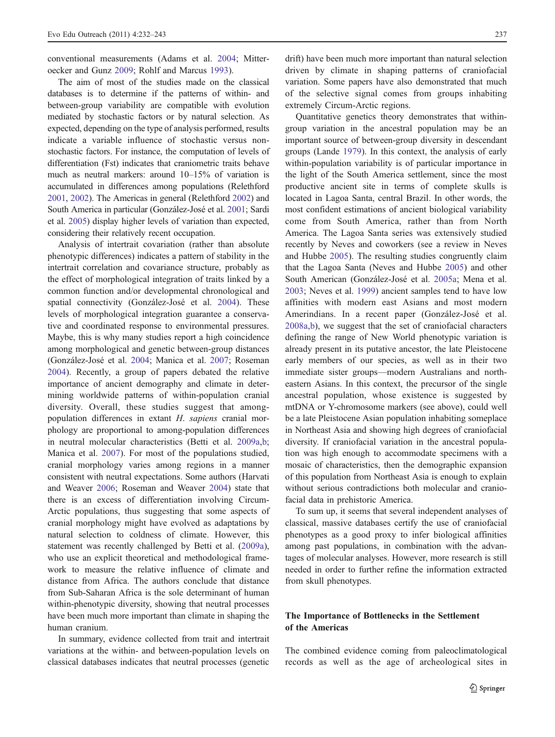conventional measurements (Adams et al. [2004](#page-8-0); Mitteroecker and Gunz [2009](#page-10-0); Rohlf and Marcus [1993](#page-10-0)).

The aim of most of the studies made on the classical databases is to determine if the patterns of within- and between-group variability are compatible with evolution mediated by stochastic factors or by natural selection. As expected, depending on the type of analysis performed, results indicate a variable influence of stochastic versus nonstochastic factors. For instance, the computation of levels of differentiation (Fst) indicates that craniometric traits behave much as neutral markers: around 10–15% of variation is accumulated in differences among populations (Relethford [2001,](#page-10-0) [2002](#page-10-0)). The Americas in general (Relethford [2002](#page-10-0)) and South America in particular (González-José et al. [2001;](#page-9-0) Sardi et al. [2005](#page-10-0)) display higher levels of variation than expected, considering their relatively recent occupation.

Analysis of intertrait covariation (rather than absolute phenotypic differences) indicates a pattern of stability in the intertrait correlation and covariance structure, probably as the effect of morphological integration of traits linked by a common function and/or developmental chronological and spatial connectivity (González-José et al. [2004\)](#page-9-0). These levels of morphological integration guarantee a conservative and coordinated response to environmental pressures. Maybe, this is why many studies report a high coincidence among morphological and genetic between-group distances (González-José et al. [2004](#page-9-0); Manica et al. [2007](#page-9-0); Roseman [2004\)](#page-10-0). Recently, a group of papers debated the relative importance of ancient demography and climate in determining worldwide patterns of within-population cranial diversity. Overall, these studies suggest that amongpopulation differences in extant H. sapiens cranial morphology are proportional to among-population differences in neutral molecular characteristics (Betti et al. [2009a,b](#page-8-0); Manica et al. [2007](#page-9-0)). For most of the populations studied, cranial morphology varies among regions in a manner consistent with neutral expectations. Some authors (Harvati and Weaver [2006;](#page-9-0) Roseman and Weaver [2004\)](#page-10-0) state that there is an excess of differentiation involving Circum-Arctic populations, thus suggesting that some aspects of cranial morphology might have evolved as adaptations by natural selection to coldness of climate. However, this statement was recently challenged by Betti et al. [\(2009a](#page-8-0)), who use an explicit theoretical and methodological framework to measure the relative influence of climate and distance from Africa. The authors conclude that distance from Sub-Saharan Africa is the sole determinant of human within-phenotypic diversity, showing that neutral processes have been much more important than climate in shaping the human cranium.

In summary, evidence collected from trait and intertrait variations at the within- and between-population levels on classical databases indicates that neutral processes (genetic drift) have been much more important than natural selection driven by climate in shaping patterns of craniofacial variation. Some papers have also demonstrated that much of the selective signal comes from groups inhabiting extremely Circum-Arctic regions.

Quantitative genetics theory demonstrates that withingroup variation in the ancestral population may be an important source of between-group diversity in descendant groups (Lande [1979](#page-9-0)). In this context, the analysis of early within-population variability is of particular importance in the light of the South America settlement, since the most productive ancient site in terms of complete skulls is located in Lagoa Santa, central Brazil. In other words, the most confident estimations of ancient biological variability come from South America, rather than from North America. The Lagoa Santa series was extensively studied recently by Neves and coworkers (see a review in Neves and Hubbe [2005](#page-10-0)). The resulting studies congruently claim that the Lagoa Santa (Neves and Hubbe [2005\)](#page-10-0) and other South American (González-José et al. [2005a](#page-9-0); Mena et al. [2003](#page-9-0); Neves et al. [1999](#page-10-0)) ancient samples tend to have low affinities with modern east Asians and most modern Amerindians. In a recent paper (González-José et al. [2008a](#page-9-0),[b\)](#page-9-0), we suggest that the set of craniofacial characters defining the range of New World phenotypic variation is already present in its putative ancestor, the late Pleistocene early members of our species, as well as in their two immediate sister groups—modern Australians and northeastern Asians. In this context, the precursor of the single ancestral population, whose existence is suggested by mtDNA or Y-chromosome markers (see above), could well be a late Pleistocene Asian population inhabiting someplace in Northeast Asia and showing high degrees of craniofacial diversity. If craniofacial variation in the ancestral population was high enough to accommodate specimens with a mosaic of characteristics, then the demographic expansion of this population from Northeast Asia is enough to explain without serious contradictions both molecular and craniofacial data in prehistoric America.

To sum up, it seems that several independent analyses of classical, massive databases certify the use of craniofacial phenotypes as a good proxy to infer biological affinities among past populations, in combination with the advantages of molecular analyses. However, more research is still needed in order to further refine the information extracted from skull phenotypes.

# The Importance of Bottlenecks in the Settlement of the Americas

The combined evidence coming from paleoclimatological records as well as the age of archeological sites in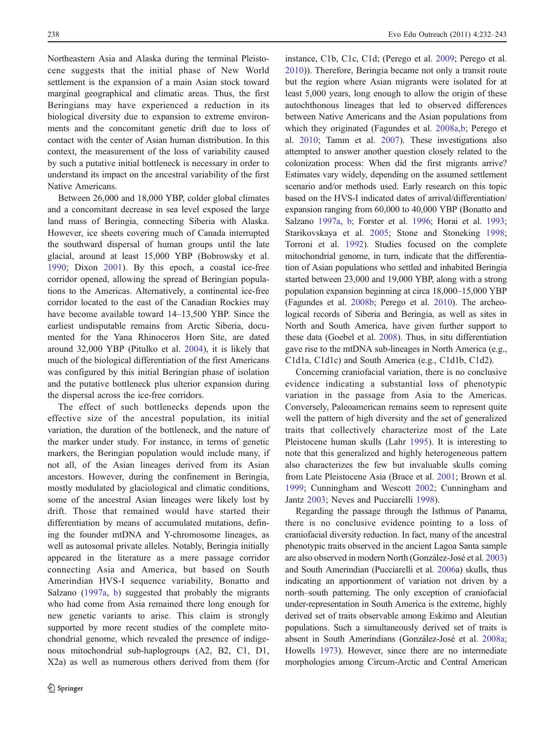Northeastern Asia and Alaska during the terminal Pleistocene suggests that the initial phase of New World settlement is the expansion of a main Asian stock toward marginal geographical and climatic areas. Thus, the first Beringians may have experienced a reduction in its biological diversity due to expansion to extreme environments and the concomitant genetic drift due to loss of contact with the center of Asian human distribution. In this context, the measurement of the loss of variability caused by such a putative initial bottleneck is necessary in order to understand its impact on the ancestral variability of the first Native Americans.

Between 26,000 and 18,000 YBP, colder global climates and a concomitant decrease in sea level exposed the large land mass of Beringia, connecting Siberia with Alaska. However, ice sheets covering much of Canada interrupted the southward dispersal of human groups until the late glacial, around at least 15,000 YBP (Bobrowsky et al. [1990](#page-8-0); Dixon [2001](#page-8-0)). By this epoch, a coastal ice-free corridor opened, allowing the spread of Beringian populations to the Americas. Alternatively, a continental ice-free corridor located to the east of the Canadian Rockies may have become available toward 14–13,500 YBP. Since the earliest undisputable remains from Arctic Siberia, documented for the Yana Rhinoceros Horn Site, are dated around 32,000 YBP (Pitulko et al. [2004](#page-10-0)), it is likely that much of the biological differentiation of the first Americans was configured by this initial Beringian phase of isolation and the putative bottleneck plus ulterior expansion during the dispersal across the ice-free corridors.

The effect of such bottlenecks depends upon the effective size of the ancestral population, its initial variation, the duration of the bottleneck, and the nature of the marker under study. For instance, in terms of genetic markers, the Beringian population would include many, if not all, of the Asian lineages derived from its Asian ancestors. However, during the confinement in Beringia, mostly modulated by glaciological and climatic conditions, some of the ancestral Asian lineages were likely lost by drift. Those that remained would have started their differentiation by means of accumulated mutations, defining the founder mtDNA and Y-chromosome lineages, as well as autosomal private alleles. Notably, Beringia initially appeared in the literature as a mere passage corridor connecting Asia and America, but based on South Amerindian HVS-I sequence variability, Bonatto and Salzano [\(1997a,](#page-8-0) [b\)](#page-8-0) suggested that probably the migrants who had come from Asia remained there long enough for new genetic variants to arise. This claim is strongly supported by more recent studies of the complete mitochondrial genome, which revealed the presence of indigenous mitochondrial sub-haplogroups (A2, B2, C1, D1, X2a) as well as numerous others derived from them (for

instance, C1b, C1c, C1d; (Perego et al. [2009;](#page-10-0) Perego et al. [2010](#page-10-0))). Therefore, Beringia became not only a transit route but the region where Asian migrants were isolated for at least 5,000 years, long enough to allow the origin of these autochthonous lineages that led to observed differences between Native Americans and the Asian populations from which they originated (Fagundes et al. [2008a](#page-8-0),[b;](#page-8-0) Perego et al. [2010](#page-10-0); Tamm et al. [2007\)](#page-11-0). These investigations also attempted to answer another question closely related to the colonization process: When did the first migrants arrive? Estimates vary widely, depending on the assumed settlement scenario and/or methods used. Early research on this topic based on the HVS-I indicated dates of arrival/differentiation/ expansion ranging from 60,000 to 40,000 YBP (Bonatto and Salzano [1997a](#page-8-0), [b](#page-8-0); Forster et al. [1996](#page-8-0); Horai et al. [1993;](#page-9-0) Starikovskaya et al. [2005](#page-10-0); Stone and Stoneking [1998;](#page-10-0) Torroni et al. [1992](#page-11-0)). Studies focused on the complete mitochondrial genome, in turn, indicate that the differentiation of Asian populations who settled and inhabited Beringia started between 23,000 and 19,000 YBP, along with a strong population expansion beginning at circa 18,000–15,000 YBP (Fagundes et al. [2008b](#page-8-0); Perego et al. [2010](#page-10-0)). The archeological records of Siberia and Beringia, as well as sites in North and South America, have given further support to these data (Goebel et al. [2008\)](#page-9-0). Thus, in situ differentiation gave rise to the mtDNA sub-lineages in North America (e.g., C1d1a, C1d1c) and South America (e.g., C1d1b, C1d2).

Concerning craniofacial variation, there is no conclusive evidence indicating a substantial loss of phenotypic variation in the passage from Asia to the Americas. Conversely, Paleoamerican remains seem to represent quite well the pattern of high diversity and the set of generalized traits that collectively characterize most of the Late Pleistocene human skulls (Lahr [1995\)](#page-9-0). It is interesting to note that this generalized and highly heterogeneous pattern also characterizes the few but invaluable skulls coming from Late Pleistocene Asia (Brace et al. [2001](#page-8-0); Brown et al. [1999](#page-8-0); Cunningham and Wescott [2002;](#page-8-0) Cunningham and Jantz [2003;](#page-8-0) Neves and Pucciarelli [1998\)](#page-10-0).

Regarding the passage through the Isthmus of Panama, there is no conclusive evidence pointing to a loss of craniofacial diversity reduction. In fact, many of the ancestral phenotypic traits observed in the ancient Lagoa Santa sample are also observed in modern North (González-José et al. [2003](#page-9-0)) and South Amerindian (Pucciarelli et al. [2006](#page-10-0)a) skulls, thus indicating an apportionment of variation not driven by a north–south patterning. The only exception of craniofacial under-representation in South America is the extreme, highly derived set of traits observable among Eskimo and Aleutian populations. Such a simultaneously derived set of traits is absent in South Amerindians (González-José et al. [2008a;](#page-9-0) Howells [1973\)](#page-9-0). However, since there are no intermediate morphologies among Circum-Arctic and Central American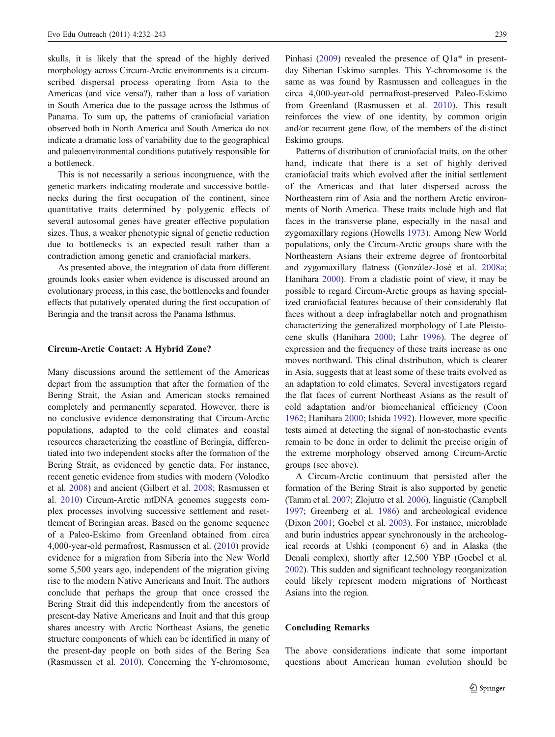skulls, it is likely that the spread of the highly derived morphology across Circum-Arctic environments is a circumscribed dispersal process operating from Asia to the Americas (and vice versa?), rather than a loss of variation in South America due to the passage across the Isthmus of Panama. To sum up, the patterns of craniofacial variation observed both in North America and South America do not indicate a dramatic loss of variability due to the geographical and paleoenvironmental conditions putatively responsible for a bottleneck.

This is not necessarily a serious incongruence, with the genetic markers indicating moderate and successive bottlenecks during the first occupation of the continent, since quantitative traits determined by polygenic effects of several autosomal genes have greater effective population sizes. Thus, a weaker phenotypic signal of genetic reduction due to bottlenecks is an expected result rather than a contradiction among genetic and craniofacial markers.

As presented above, the integration of data from different grounds looks easier when evidence is discussed around an evolutionary process, in this case, the bottlenecks and founder effects that putatively operated during the first occupation of Beringia and the transit across the Panama Isthmus.

#### Circum-Arctic Contact: A Hybrid Zone?

Many discussions around the settlement of the Americas depart from the assumption that after the formation of the Bering Strait, the Asian and American stocks remained completely and permanently separated. However, there is no conclusive evidence demonstrating that Circum-Arctic populations, adapted to the cold climates and coastal resources characterizing the coastline of Beringia, differentiated into two independent stocks after the formation of the Bering Strait, as evidenced by genetic data. For instance, recent genetic evidence from studies with modern (Volodko et al. [2008](#page-11-0)) and ancient (Gilbert et al. [2008](#page-9-0); Rasmussen et al. [2010](#page-10-0)) Circum-Arctic mtDNA genomes suggests complex processes involving successive settlement and resettlement of Beringian areas. Based on the genome sequence of a Paleo-Eskimo from Greenland obtained from circa 4,000-year-old permafrost, Rasmussen et al. ([2010\)](#page-10-0) provide evidence for a migration from Siberia into the New World some 5,500 years ago, independent of the migration giving rise to the modern Native Americans and Inuit. The authors conclude that perhaps the group that once crossed the Bering Strait did this independently from the ancestors of present-day Native Americans and Inuit and that this group shares ancestry with Arctic Northeast Asians, the genetic structure components of which can be identified in many of the present-day people on both sides of the Bering Sea (Rasmussen et al. [2010\)](#page-10-0). Concerning the Y-chromosome,

Pinhasi ([2009\)](#page-10-0) revealed the presence of Q1a\* in presentday Siberian Eskimo samples. This Y-chromosome is the same as was found by Rasmussen and colleagues in the circa 4,000-year-old permafrost-preserved Paleo-Eskimo from Greenland (Rasmussen et al. [2010](#page-10-0)). This result reinforces the view of one identity, by common origin and/or recurrent gene flow, of the members of the distinct Eskimo groups.

Patterns of distribution of craniofacial traits, on the other hand, indicate that there is a set of highly derived craniofacial traits which evolved after the initial settlement of the Americas and that later dispersed across the Northeastern rim of Asia and the northern Arctic environments of North America. These traits include high and flat faces in the transverse plane, especially in the nasal and zygomaxillary regions (Howells [1973\)](#page-9-0). Among New World populations, only the Circum-Arctic groups share with the Northeastern Asians their extreme degree of frontoorbital and zygomaxillary flatness (González-José et al. [2008a;](#page-9-0) Hanihara [2000\)](#page-9-0). From a cladistic point of view, it may be possible to regard Circum-Arctic groups as having specialized craniofacial features because of their considerably flat faces without a deep infraglabellar notch and prognathism characterizing the generalized morphology of Late Pleistocene skulls (Hanihara [2000;](#page-9-0) Lahr [1996](#page-9-0)). The degree of expression and the frequency of these traits increase as one moves northward. This clinal distribution, which is clearer in Asia, suggests that at least some of these traits evolved as an adaptation to cold climates. Several investigators regard the flat faces of current Northeast Asians as the result of cold adaptation and/or biomechanical efficiency (Coon [1962](#page-8-0); Hanihara [2000;](#page-9-0) Ishida [1992\)](#page-9-0). However, more specific tests aimed at detecting the signal of non-stochastic events remain to be done in order to delimit the precise origin of the extreme morphology observed among Circum-Arctic groups (see above).

A Circum-Arctic continuum that persisted after the formation of the Bering Strait is also supported by genetic (Tamm et al. [2007](#page-11-0); Zlojutro et al. [2006\)](#page-11-0), linguistic (Campbell [1997;](#page-8-0) Greenberg et al. [1986](#page-9-0)) and archeological evidence (Dixon [2001;](#page-8-0) Goebel et al. [2003](#page-9-0)). For instance, microblade and burin industries appear synchronously in the archeological records at Ushki (component 6) and in Alaska (the Denali complex), shortly after 12,500 YBP (Goebel et al. [2002\)](#page-9-0). This sudden and significant technology reorganization could likely represent modern migrations of Northeast Asians into the region.

## Concluding Remarks

The above considerations indicate that some important questions about American human evolution should be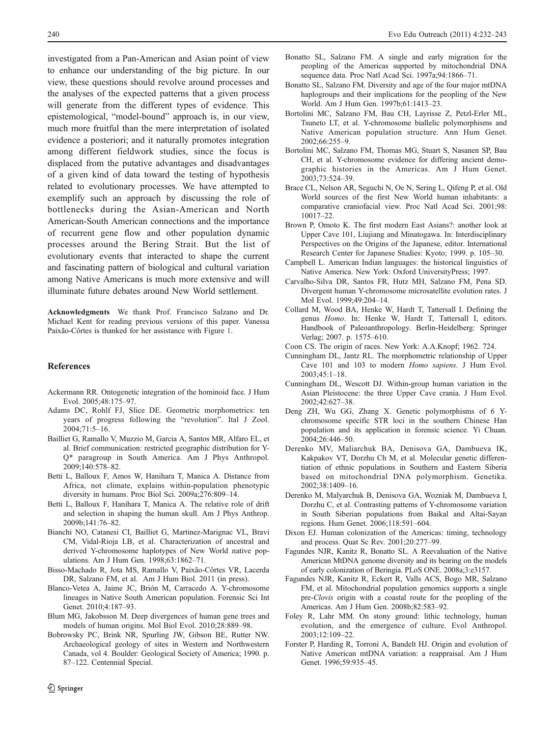<span id="page-8-0"></span>investigated from a Pan-American and Asian point of view to enhance our understanding of the big picture. In our view, these questions should revolve around processes and the analyses of the expected patterns that a given process will generate from the different types of evidence. This epistemological, "model-bound" approach is, in our view, much more fruitful than the mere interpretation of isolated evidence a posteriori; and it naturally promotes integration among different fieldwork studies, since the focus is displaced from the putative advantages and disadvantages of a given kind of data toward the testing of hypothesis related to evolutionary processes. We have attempted to exemplify such an approach by discussing the role of bottlenecks during the Asian-American and North American-South American connections and the importance of recurrent gene flow and other population dynamic processes around the Bering Strait. But the list of evolutionary events that interacted to shape the current and fascinating pattern of biological and cultural variation among Native Americans is much more extensive and will illuminate future debates around New World settlement.

Acknowledgments We thank Prof. Francisco Salzano and Dr. Michael Kent for reading previous versions of this paper. Vanessa Paixão-Côrtes is thanked for her assistance with Figure [1.](#page-3-0)

## References

- Ackermann RR. Ontogenetic integration of the hominoid face. J Hum Evol. 2005;48:175–97.
- Adams DC, Rohlf FJ, Slice DE. Geometric morphometrics: ten years of progress following the "revolution". Ital J Zool. 2004;71:5–16.
- Bailliet G, Ramallo V, Muzzio M, Garcia A, Santos MR, Alfaro EL, et al. Brief communication: restricted geographic distribution for Y-Q\* paragroup in South America. Am J Phys Anthropol. 2009;140:578–82.
- Betti L, Balloux F, Amos W, Hanihara T, Manica A. Distance from Africa, not climate, explains within-population phenotypic diversity in humans. Proc Biol Sci. 2009a;276:809–14.
- Betti L, Balloux F, Hanihara T, Manica A. The relative role of drift and selection in shaping the human skull. Am J Phys Anthrop. 2009b;141:76–82.
- Bianchi NO, Catanesi CI, Bailliet G, Martinez-Marignac VL, Bravi CM, Vidal-Rioja LB, et al. Characterization of ancestral and derived Y-chromosome haplotypes of New World native populations. Am J Hum Gen. 1998;63:1862–71.
- Bisso-Machado R, Jota MS, Ramallo V, Paixão-Côrtes VR, Lacerda DR, Salzano FM, et al. Am J Hum Biol. 2011 (in press).
- Blanco-Vetea A, Jaime JC, Brión M, Carracedo A. Y-chromosome lineages in Native South American population. Forensic Sci Int Genet. 2010;4:187–93.
- Blum MG, Jakobsson M. Deep divergences of human gene trees and models of human origins. Mol Biol Evol. 2010;28:889–98.
- Bobrowsky PC, Brink NR, Spurling JW, Gibson BE, Rutter NW. Archaeological geology of sites in Western and Northwestern Canada, vol 4. Boulder: Geological Society of America; 1990. p. 87–122. Centennial Special.
- Bonatto SL, Salzano FM. A single and early migration for the peopling of the Americas supported by mitochondrial DNA sequence data. Proc Natl Acad Sci. 1997a;94:1866–71.
- Bonatto SL, Salzano FM. Diversity and age of the four major mtDNA haplogroups and their implications for the peopling of the New World. Am J Hum Gen. 1997b;61:1413–23.
- Bortolini MC, Salzano FM, Bau CH, Layrisse Z, Petzl-Erler ML, Tsuneto LT, et al. Y-chromosome biallelic polymorphisms and Native American population structure. Ann Hum Genet. 2002;66:255–9.
- Bortolini MC, Salzano FM, Thomas MG, Stuart S, Nasanen SP, Bau CH, et al. Y-chromosome evidence for differing ancient demographic histories in the Americas. Am J Hum Genet. 2003;73:524–39.
- Brace CL, Nelson AR, Seguchi N, Oe N, Sering L, Qifeng P, et al. Old World sources of the first New World human inhabitants: a comparative craniofacial view. Proc Natl Acad Sci. 2001;98: 10017–22.
- Brown P, Omoto K. The first modern East Asians?: another look at Upper Cave 101, Liujiang and Minatogawa. In: Interdisciplinary Perspectives on the Origins of the Japanese, editor. International Research Center for Japanese Studies: Kyoto; 1999. p. 105–30.
- Campbell L. American Indian languages: the historical linguistics of Native America. New York: Oxford UniversityPress; 1997.
- Carvalho-Silva DR, Santos FR, Hutz MH, Salzano FM, Pena SD. Divergent human Y-chromosome microsatellite evolution rates. J Mol Evol. 1999;49:204–14.
- Collard M, Wood BA, Henke W, Hardt T, Tattersall I. Defining the genus Homo. In: Henke W, Hardt T, Tattersall I, editors. Handbook of Paleoanthropology. Berlin-Heidelberg: Springer Verlag; 2007. p. 1575–610.

Coon CS. The origin of races. New York: A.A.Knopf; 1962. 724.

- Cunningham DL, Jantz RL. The morphometric relationship of Upper Cave 101 and 103 to modern Homo sapiens. J Hum Evol. 2003;45:1–18.
- Cunningham DL, Wescott DJ. Within-group human variation in the Asian Pleistocene: the three Upper Cave crania. J Hum Evol. 2002;42:627–38.
- Deng ZH, Wu GG, Zhang X. Genetic polymorphisms of 6 Ychromosome specific STR loci in the southern Chinese Han population and its application in forensic science. Yi Chuan. 2004;26:446–50.
- Derenko MV, Maliarchuk BA, Denisova GA, Dambueva IK, Kakpakov VT, Dorzhu Ch M, et al. Molecular genetic differentiation of ethnic populations in Southern and Eastern Siberia based on mitochondrial DNA polymorphism. Genetika. 2002;38:1409–16.
- Derenko M, Malyarchuk B, Denisova GA, Wozniak M, Dambueva I, Dorzhu C, et al. Contrasting patterns of Y-chromosome variation in South Siberian populations from Baikal and Altai-Sayan regions. Hum Genet. 2006;118:591–604.
- Dixon EJ. Human colonization of the Americas: timing, technology and process. Quat Sc Rev. 2001;20:277–99.
- Fagundes NJR, Kanitz R, Bonatto SL. A Reevaluation of the Native American MtDNA genome diversity and its bearing on the models of early colonization of Beringia. PLoS ONE. 2008a;3:e3157.
- Fagundes NJR, Kanitz R, Eckert R, Valls ACS, Bogo MR, Salzano FM, et al. Mitochondrial population genomics supports a single pre-Clovis origin with a coastal route for the peopling of the Americas. Am J Hum Gen. 2008b;82:583–92.
- Foley R, Lahr MM. On stony ground: lithic technology, human evolution, and the emergence of culture. Evol Anthropol. 2003;12:109–22.
- Forster P, Harding R, Torroni A, Bandelt HJ. Origin and evolution of Native American mtDNA variation: a reappraisal. Am J Hum Genet. 1996;59:935–45.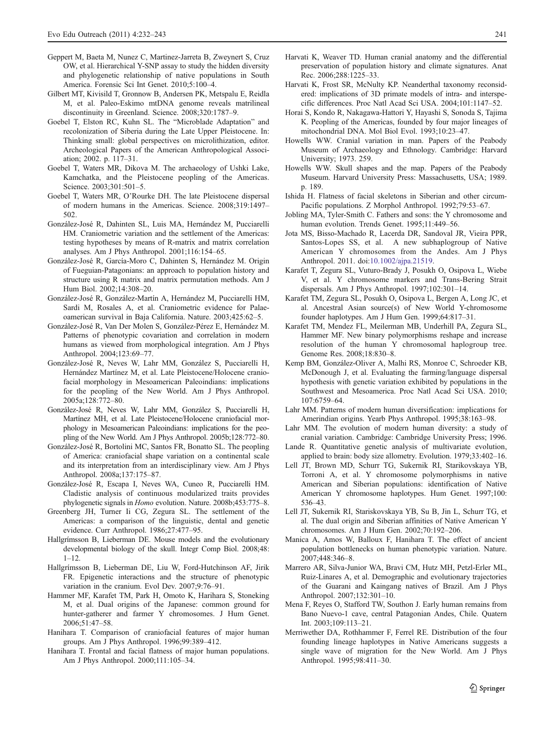- <span id="page-9-0"></span>Geppert M, Baeta M, Nunez C, Martinez-Jarreta B, Zweynert S, Cruz OW, et al. Hierarchical Y-SNP assay to study the hidden diversity and phylogenetic relationship of native populations in South America. Forensic Sci Int Genet. 2010;5:100–4.
- Gilbert MT, Kivisild T, Gronnow B, Andersen PK, Metspalu E, Reidla M, et al. Paleo-Eskimo mtDNA genome reveals matrilineal discontinuity in Greenland. Science. 2008;320:1787–9.
- Goebel T, Elston RC, Kuhn SL. The "Microblade Adaptation" and recolonization of Siberia during the Late Upper Pleistocene. In: Thinking small: global perspectives on microlithization, editor. Archeological Papers of the American Anthropological Association; 2002. p. 117–31.
- Goebel T, Waters MR, Dikova M. The archaeology of Ushki Lake, Kamchatka, and the Pleistocene peopling of the Americas. Science. 2003;301:501-5.
- Goebel T, Waters MR, O'Rourke DH. The late Pleistocene dispersal of modern humans in the Americas. Science. 2008;319:1497– 502.
- González-José R, Dahinten SL, Luis MA, Hernández M, Pucciarelli HM. Craniometric variation and the settlement of the Americas: testing hypotheses by means of R-matrix and matrix correlation analyses. Am J Phys Anthropol. 2001;116:154–65.
- González-José R, García-Moro C, Dahinten S, Hernández M. Origin of Fueguian-Patagonians: an approach to population history and structure using R matrix and matrix permutation methods. Am J Hum Biol. 2002;14:308–20.
- González-José R, González-Martín A, Hernández M, Pucciarelli HM, Sardi M, Rosales A, et al. Craniometric evidence for Palaeoamerican survival in Baja California. Nature. 2003;425:62–5.
- González-José R, Van Der Molen S, González-Pérez E, Hernández M. Patterns of phenotypic covariation and correlation in modern humans as viewed from morphological integration. Am J Phys Anthropol. 2004;123:69–77.
- González-José R, Neves W, Lahr MM, González S, Pucciarelli H, Hernández Martínez M, et al. Late Pleistocene/Holocene craniofacial morphology in Mesoamerican Paleoindians: implications for the peopling of the New World. Am J Phys Anthropol. 2005a;128:772–80.
- González-José R, Neves W, Lahr MM, González S, Pucciarelli H, Martínez MH, et al. Late Pleistocene/Holocene craniofacial morphology in Mesoamerican Paleoindians: implications for the peopling of the New World. Am J Phys Anthropol. 2005b;128:772–80.
- González-José R, Bortolini MC, Santos FR, Bonatto SL. The peopling of America: craniofacial shape variation on a continental scale and its interpretation from an interdisciplinary view. Am J Phys Anthropol. 2008a;137:175–87.
- González-José R, Escapa I, Neves WA, Cuneo R, Pucciarelli HM. Cladistic analysis of continuous modularized traits provides phylogenetic signals in Homo evolution. Nature. 2008b;453:775–8.
- Greenberg JH, Turner Ii CG, Zegura SL. The settlement of the Americas: a comparison of the linguistic, dental and genetic evidence. Curr Anthropol. 1986;27:477–95.
- Hallgrímsson B, Lieberman DE. Mouse models and the evolutionary developmental biology of the skull. Integr Comp Biol. 2008;48:  $1 - 12$ .
- Hallgrímsson B, Lieberman DE, Liu W, Ford-Hutchinson AF, Jirik FR. Epigenetic interactions and the structure of phenotypic variation in the cranium. Evol Dev. 2007;9:76–91.
- Hammer MF, Karafet TM, Park H, Omoto K, Harihara S, Stoneking M, et al. Dual origins of the Japanese: common ground for hunter-gatherer and farmer Y chromosomes. J Hum Genet. 2006;51:47–58.
- Hanihara T. Comparison of craniofacial features of major human groups. Am J Phys Anthropol. 1996;99:389–412.
- Hanihara T. Frontal and facial flatness of major human populations. Am J Phys Anthropol. 2000;111:105–34.
- Harvati K, Weaver TD. Human cranial anatomy and the differential preservation of population history and climate signatures. Anat Rec. 2006;288:1225–33.
- Harvati K, Frost SR, McNulty KP. Neanderthal taxonomy reconsidered: implications of 3D primate models of intra- and interspecific differences. Proc Natl Acad Sci USA. 2004;101:1147–52.
- Horai S, Kondo R, Nakagawa-Hattori Y, Hayashi S, Sonoda S, Tajima K. Peopling of the Americas, founded by four major lineages of mitochondrial DNA. Mol Biol Evol. 1993;10:23–47.
- Howells WW. Cranial variation in man. Papers of the Peabody Museum of Archaeology and Ethnology. Cambridge: Harvard University; 1973. 259.
- Howells WW. Skull shapes and the map. Papers of the Peabody Museum. Harvard University Press: Massachusetts, USA; 1989. p. 189.
- Ishida H. Flatness of facial skeletons in Siberian and other circum-Pacific populations. Z Morphol Anthropol. 1992;79:53–67.
- Jobling MA, Tyler-Smith C. Fathers and sons: the Y chromosome and human evolution. Trends Genet. 1995;11:449–56.
- Jota MS, Bisso-Machado R, Lacerda DR, Sandoval JR, Vieira PPR, Santos-Lopes SS, et al. A new subhaplogroup of Native American Y chromosomes from the Andes. Am J Phys Anthropol. 2011. doi[:10.1002/ajpa.21519](http://dx.doi.org/10.1002/ajpa.21519).
- Karafet T, Zegura SL, Vuturo-Brady J, Posukh O, Osipova L, Wiebe V, et al. Y chromosome markers and Trans-Bering Strait dispersals. Am J Phys Anthropol. 1997;102:301–14.
- Karafet TM, Zegura SL, Posukh O, Osipova L, Bergen A, Long JC, et al. Ancestral Asian source(s) of New World Y-chromosome founder haplotypes. Am J Hum Gen. 1999;64:817–31.
- Karafet TM, Mendez FL, Meilerman MB, Underhill PA, Zegura SL, Hammer MF. New binary polymorphisms reshape and increase resolution of the human Y chromosomal haplogroup tree. Genome Res. 2008;18:830–8.
- Kemp BM, González-Oliver A, Malhi RS, Monroe C, Schroeder KB, McDonough J, et al. Evaluating the farming/language dispersal hypothesis with genetic variation exhibited by populations in the Southwest and Mesoamerica. Proc Natl Acad Sci USA. 2010; 107:6759–64.
- Lahr MM. Patterns of modern human diversification: implications for Amerindian origins. Yearb Phys Anthropol. 1995;38:163–98.
- Lahr MM. The evolution of modern human diversity: a study of cranial variation. Cambridge: Cambridge University Press; 1996.
- Lande R. Quantitative genetic analysis of multivariate evolution, applied to brain: body size allometry. Evolution. 1979;33:402–16.
- Lell JT, Brown MD, Schurr TG, Sukernik RI, Starikovskaya YB, Torroni A, et al. Y chromosome polymorphisms in native American and Siberian populations: identification of Native American Y chromosome haplotypes. Hum Genet. 1997;100: 536–43.
- Lell JT, Sukernik RI, Stariskovskaya YB, Su B, Jin L, Schurr TG, et al. The dual origin and Siberian affinities of Native American Y chromosomes. Am J Hum Gen. 2002;70:192–206.
- Manica A, Amos W, Balloux F, Hanihara T. The effect of ancient population bottlenecks on human phenotypic variation. Nature. 2007;448:346–8.
- Marrero AR, Silva-Junior WA, Bravi CM, Hutz MH, Petzl-Erler ML, Ruiz-Linares A, et al. Demographic and evolutionary trajectories of the Guarani and Kaingang natives of Brazil. Am J Phys Anthropol. 2007;132:301–10.
- Mena F, Reyes O, Stafford TW, Southon J. Early human remains from Bano Nuevo-1 cave, central Patagonian Andes, Chile. Quatern Int. 2003;109:113–21.
- Merriwether DA, Rothhammer F, Ferrel RE. Distribution of the four founding lineage haplotypes in Native Americans suggests a single wave of migration for the New World. Am J Phys Anthropol. 1995;98:411–30.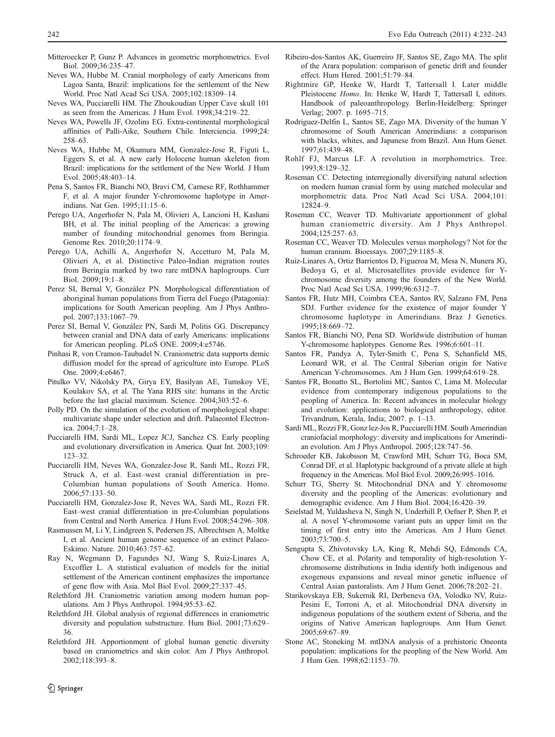- <span id="page-10-0"></span>Mitteroecker P, Gunz P. Advances in geometric morphometrics. Evol Biol. 2009;36:235–47.
- Neves WA, Hubbe M. Cranial morphology of early Americans from Lagoa Santa, Brazil: implications for the settlement of the New World. Proc Natl Acad Sci USA. 2005;102:18309–14.
- Neves WA, Pucciarelli HM. The Zhoukoudian Upper Cave skull 101 as seen from the Americas. J Hum Evol. 1998;34:219–22.
- Neves WA, Powells JF, Ozolins EG. Extra-continental morphological affinities of Palli-Aike, Southern Chile. Interciencia. 1999;24: 258–63.
- Neves WA, Hubbe M, Okumura MM, Gonzalez-Jose R, Figuti L, Eggers S, et al. A new early Holocene human skeleton from Brazil: implications for the settlement of the New World. J Hum Evol. 2005;48:403–14.
- Pena S, Santos FR, Bianchi NO, Bravi CM, Carnese RF, Rothhammer F, et al. A major founder Y-chromosome haplotype in Amerindians. Nat Gen. 1995;11:15–6.
- Perego UA, Angerhofer N, Pala M, Olivieri A, Lancioni H, Kashani BH, et al. The initial peopling of the Americas: a growing number of founding mitochondrial genomes from Beringia. Genome Res. 2010;20:1174–9.
- Perego UA, Achilli A, Angerhofer N, Accetturo M, Pala M, Olivieri A, et al. Distinctive Paleo-Indian migration routes from Beringia marked by two rare mtDNA haplogroups. Curr Biol. 2009;19:1–8.
- Perez SI, Bernal V, González PN. Morphological differentiation of aboriginal human populations from Tierra del Fuego (Patagonia): implications for South American peopling. Am J Phys Anthropol. 2007;133:1067–79.
- Perez SI, Bernal V, González PN, Sardi M, Politis GG. Discrepancy between cranial and DNA data of early Americans: implications for American peopling. PLoS ONE. 2009;4:e5746.
- Pinhasi R, von Cramon-Taubadel N. Craniometric data supports demic diffusion model for the spread of agriculture into Europe. PLoS One. 2009;4:e6467.
- Pitulko VV, Nikolsky PA, Girya EY, Basilyan AE, Tumskoy VE, Koulakov SA, et al. The Yana RHS site: humans in the Arctic before the last glacial maximum. Science. 2004;303:52–6.
- Polly PD. On the simulation of the evolution of morphological shape: multivariate shape under selection and drift. Palaeontol Electronica. 2004;7:1–28.
- Pucciarelli HM, Sardi ML, Lopez JCJ, Sanchez CS. Early peopling and evolutionary diversification in America. Quat Int. 2003;109: 123–32.
- Pucciarelli HM, Neves WA, Gonzalez-Jose R, Sardi ML, Rozzi FR, Struck A, et al. East–west cranial differentiation in pre-Columbian human populations of South America. Homo. 2006;57:133–50.
- Pucciarelli HM, Gonzalez-Jose R, Neves WA, Sardi ML, Rozzi FR. East–west cranial differentiation in pre-Columbian populations from Central and North America. J Hum Evol. 2008;54:296–308.
- Rasmussen M, Li Y, Lindgreen S, Pedersen JS, Albrechtsen A, Moltke I, et al. Ancient human genome sequence of an extinct Palaeo-Eskimo. Nature. 2010;463:757–62.
- Ray N, Wegmann D, Fagundes NJ, Wang S, Ruiz-Linares A, Excoffier L. A statistical evaluation of models for the initial settlement of the American continent emphasizes the importance of gene flow with Asia. Mol Biol Evol. 2009;27:337–45.
- Relethford JH. Craniometric variation among modern human populations. Am J Phys Anthropol. 1994;95:53–62.
- Relethford JH. Global analysis of regional differences in craniometric diversity and population substructure. Hum Biol. 2001;73:629– 36.
- Relethford JH. Apportionment of global human genetic diversity based on craniometrics and skin color. Am J Phys Anthropol. 2002;118:393–8.
- Ribeiro-dos-Santos AK, Guerreiro JF, Santos SE, Zago MA. The split of the Arara population: comparison of genetic drift and founder effect. Hum Hered. 2001;51:79–84.
- Rightmire GP, Henke W, Hardt T, Tattersall I. Later middle Pleistocene Homo. In: Henke W, Hardt T, Tattersall I, editors. Handbook of paleoanthropology. Berlin-Heidelberg: Springer Verlag; 2007. p. 1695–715.
- Rodriguez-Delfin L, Santos SE, Zago MA. Diversity of the human Y chromosome of South American Amerindians: a comparison with blacks, whites, and Japanese from Brazil. Ann Hum Genet. 1997;61:439–48.
- Rohlf FJ, Marcus LF. A revolution in morphometrics. Tree. 1993;8:129–32.
- Roseman CC. Detecting interregionally diversifying natural selection on modern human cranial form by using matched molecular and morphometric data. Proc Natl Acad Sci USA. 2004;101: 12824–9.
- Roseman CC, Weaver TD. Multivariate apportionment of global human craniometric diversity. Am J Phys Anthropol. 2004;125:257–63.
- Roseman CC, Weaver TD. Molecules versus morphology? Not for the human cranium. Bioessays. 2007;29:1185–8.
- Ruiz-Linares A, Ortiz Barrientos D, Figueroa M, Mesa N, Munera JG, Bedoya G, et al. Microsatellites provide evidence for Ychromosome diversity among the founders of the New World. Proc Natl Acad Sci USA. 1999;96:6312–7.
- Santos FR, Hutz MH, Coimbra CEA, Santos RV, Salzano FM, Pena SDJ. Further evidence for the existence of major founder Y chromosome haplotype in Amerindians. Braz J Genetics. 1995;18:669–72.
- Santos FR, Bianchi NO, Pena SD. Worldwide distribution of human Y-chromosome haplotypes. Genome Res. 1996;6:601–11.
- Santos FR, Pandya A, Tyler-Smith C, Pena S, Schanfield MS, Leonard WR, et al. The Central Siberian origin for Native American Y-chromosomes. Am J Hum Gen. 1999;64:619–28.
- Santos FR, Bonatto SL, Bortolini MC, Santos C, Lima M. Molecular evidence from contemporary indigenous populations to the peopling of America. In: Recent advances in molecular biology and evolution: applications to biological anthropology, editor. Trivandrum, Kerala, India; 2007. p. 1–13.
- Sardi ML, Rozzi FR, Gonz lez-Jos R, Pucciarelli HM. South Amerindian craniofacial morphology: diversity and implications for Amerindian evolution. Am J Phys Anthropol. 2005;128:747–56.
- Schroeder KB, Jakobsson M, Crawford MH, Schurr TG, Boca SM, Conrad DF, et al. Haplotypic background of a private allele at high frequency in the Americas. Mol Biol Evol. 2009;26:995–1016.
- Schurr TG, Sherry St. Mitochondrial DNA and Y chromosome diversity and the peopling of the Americas: evolutionary and demographic evidence. Am J Hum Biol. 2004;16:420–39.
- Seielstad M, Yuldasheva N, Singh N, Underhill P, Oefner P, Shen P, et al. A novel Y-chromosome variant puts an upper limit on the timing of first entry into the Americas. Am J Hum Genet. 2003;73:700–5.
- Sengupta S, Zhivotovsky LA, King R, Mehdi SQ, Edmonds CA, Chow CE, et al. Polarity and temporality of high-resolution Ychromosome distributions in India identify both indigenous and exogenous expansions and reveal minor genetic influence of Central Asian pastoralists. Am J Hum Genet. 2006;78:202–21.
- Starikovskaya EB, Sukernik RI, Derbeneva OA, Volodko NV, Ruiz-Pesini E, Torroni A, et al. Mitochondrial DNA diversity in indigenous populations of the southern extent of Siberia, and the origins of Native American haplogroups. Ann Hum Genet. 2005;69:67–89.
- Stone AC, Stoneking M. mtDNA analysis of a prehistoric Oneonta population: implications for the peopling of the New World. Am J Hum Gen. 1998;62:1153–70.